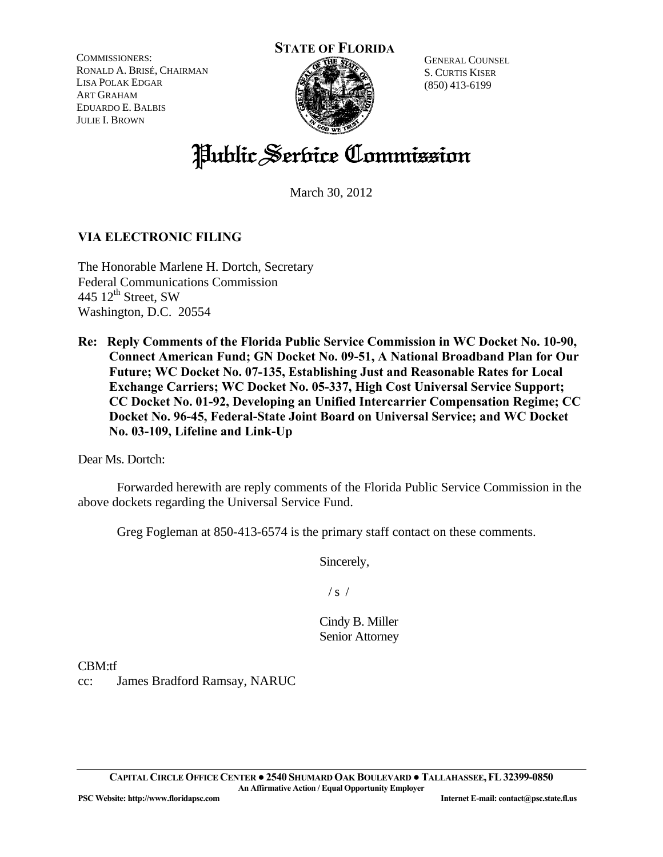COMMISSIONERS: RONALD A. BRISÉ, CHAIRMAN LISA POLAK EDGAR ART GRAHAM EDUARDO E. BALBIS JULIE I. BROWN

### **STATE OF FLORIDA**



GENERAL COUNSEL S. CURTIS KISER (850) 413-6199

# Public Service Commission

March 30, 2012

# **VIA ELECTRONIC FILING**

The Honorable Marlene H. Dortch, Secretary Federal Communications Commission 445  $12^{th}$  Street, SW Washington, D.C. 20554

**Re: Reply Comments of the Florida Public Service Commission in WC Docket No. 10-90, Connect American Fund; GN Docket No. 09-51, A National Broadband Plan for Our Future; WC Docket No. 07-135, Establishing Just and Reasonable Rates for Local Exchange Carriers; WC Docket No. 05-337, High Cost Universal Service Support; CC Docket No. 01-92, Developing an Unified Intercarrier Compensation Regime; CC Docket No. 96-45, Federal-State Joint Board on Universal Service; and WC Docket No. 03-109, Lifeline and Link-Up** 

Dear Ms. Dortch:

 Forwarded herewith are reply comments of the Florida Public Service Commission in the above dockets regarding the Universal Service Fund.

Greg Fogleman at 850-413-6574 is the primary staff contact on these comments.

Sincerely,

 $/s /$ 

Cindy B. Miller Senior Attorney

CBM:tf

cc: James Bradford Ramsay, NARUC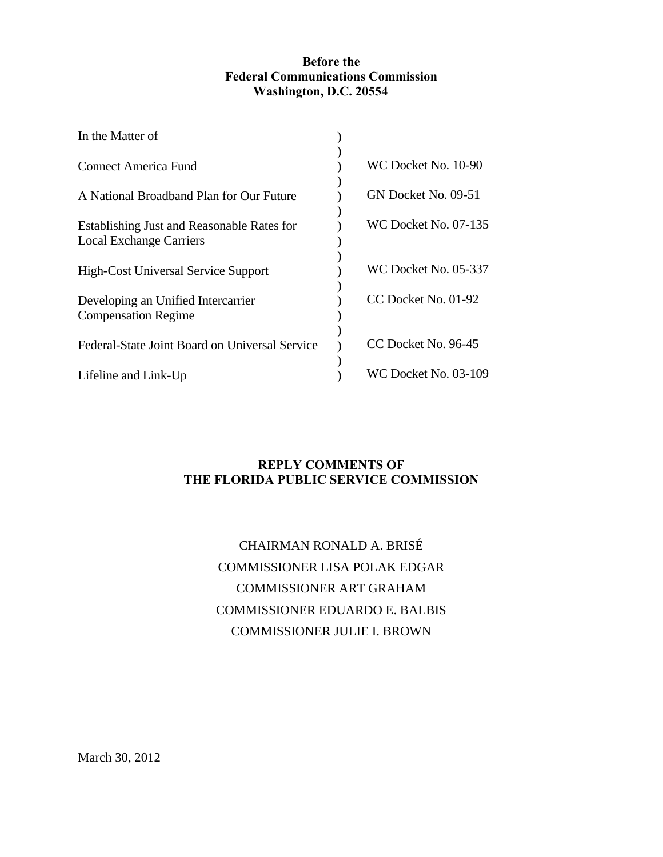#### **Before the Federal Communications Commission Washington, D.C. 20554**

| In the Matter of                                                             |                             |
|------------------------------------------------------------------------------|-----------------------------|
| Connect America Fund                                                         | WC Docket No. 10-90         |
| A National Broadband Plan for Our Future                                     | GN Docket No. 09-51         |
| Establishing Just and Reasonable Rates for<br><b>Local Exchange Carriers</b> | WC Docket No. 07-135        |
| <b>High-Cost Universal Service Support</b>                                   | <b>WC Docket No. 05-337</b> |
| Developing an Unified Intercarrier<br><b>Compensation Regime</b>             | CC Docket No. 01-92         |
| Federal-State Joint Board on Universal Service                               | CC Docket No. 96-45         |
| Lifeline and Link-Up                                                         | WC Docket No. 03-109        |

# **REPLY COMMENTS OF THE FLORIDA PUBLIC SERVICE COMMISSION**

# CHAIRMAN RONALD A. BRISÉ COMMISSIONER LISA POLAK EDGAR COMMISSIONER ART GRAHAM COMMISSIONER EDUARDO E. BALBIS COMMISSIONER JULIE I. BROWN

March 30, 2012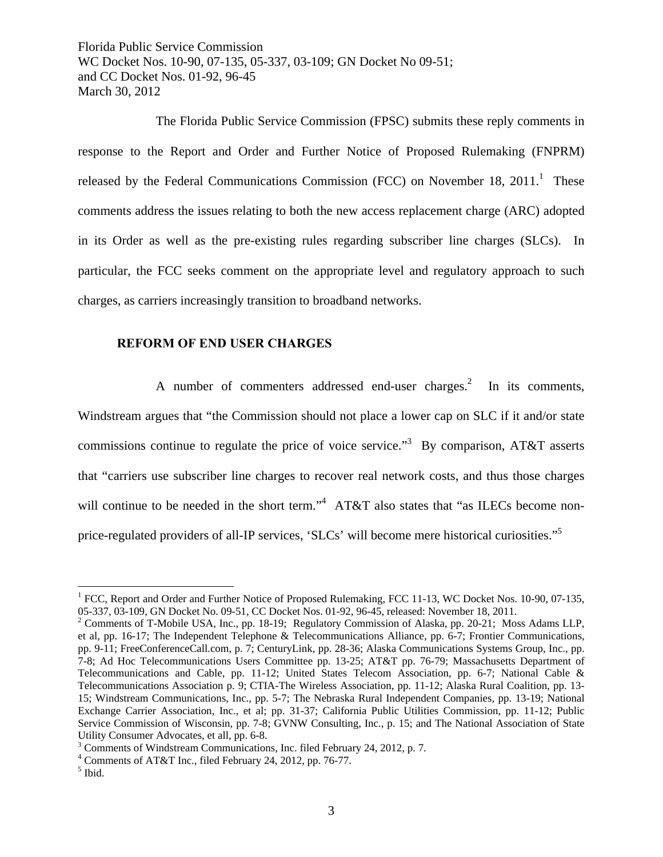The Florida Public Service Commission (FPSC) submits these reply comments in response to the Report and Order and Further Notice of Proposed Rulemaking (FNPRM) released by the Federal Communications Commission (FCC) on November 18,  $2011$ .<sup>1</sup> These comments address the issues relating to both the new access replacement charge (ARC) adopted in its Order as well as the pre-existing rules regarding subscriber line charges (SLCs). In particular, the FCC seeks comment on the appropriate level and regulatory approach to such charges, as carriers increasingly transition to broadband networks.

#### **REFORM OF END USER CHARGES**

A number of commenters addressed end-user charges. $2$  In its comments, Windstream argues that "the Commission should not place a lower cap on SLC if it and/or state commissions continue to regulate the price of voice service.<sup>3</sup> By comparison, AT&T asserts that "carriers use subscriber line charges to recover real network costs, and thus those charges will continue to be needed in the short term."<sup>4</sup> AT&T also states that "as ILECs become nonprice-regulated providers of all-IP services, 'SLCs' will become mere historical curiosities."<sup>5</sup>

1

<sup>&</sup>lt;sup>1</sup> FCC, Report and Order and Further Notice of Proposed Rulemaking, FCC 11-13, WC Docket Nos. 10-90, 07-135, 05-337, 03-109, GN Docket No. 09-51, CC Docket Nos. 01-92, 96-45, released: November 18, 2011.

<sup>&</sup>lt;sup>2</sup> Comments of T-Mobile USA, Inc., pp. 18-19; Regulatory Commission of Alaska, pp. 20-21; Moss Adams LLP, et al, pp. 16-17; The Independent Telephone & Telecommunications Alliance, pp. 6-7; Frontier Communications, pp. 9-11; FreeConferenceCall.com, p. 7; CenturyLink, pp. 28-36; Alaska Communications Systems Group, Inc., pp. 7-8; Ad Hoc Telecommunications Users Committee pp. 13-25; AT&T pp. 76-79; Massachusetts Department of Telecommunications and Cable, pp. 11-12; United States Telecom Association, pp. 6-7; National Cable & Telecommunications Association p. 9; CTIA-The Wireless Association, pp. 11-12; Alaska Rural Coalition, pp. 13- 15; Windstream Communications, Inc., pp. 5-7; The Nebraska Rural Independent Companies, pp. 13-19; National Exchange Carrier Association, Inc., et al; pp. 31-37; California Public Utilities Commission, pp. 11-12; Public Service Commission of Wisconsin, pp. 7-8; GVNW Consulting, Inc., p. 15; and The National Association of State Utility Consumer Advocates, et all, pp. 6-8.

<sup>&</sup>lt;sup>3</sup> Comments of Windstream Communications, Inc. filed February 24, 2012, p. 7.

<sup>4</sup> Comments of AT&T Inc., filed February 24, 2012, pp. 76-77.

<sup>5</sup> Ibid.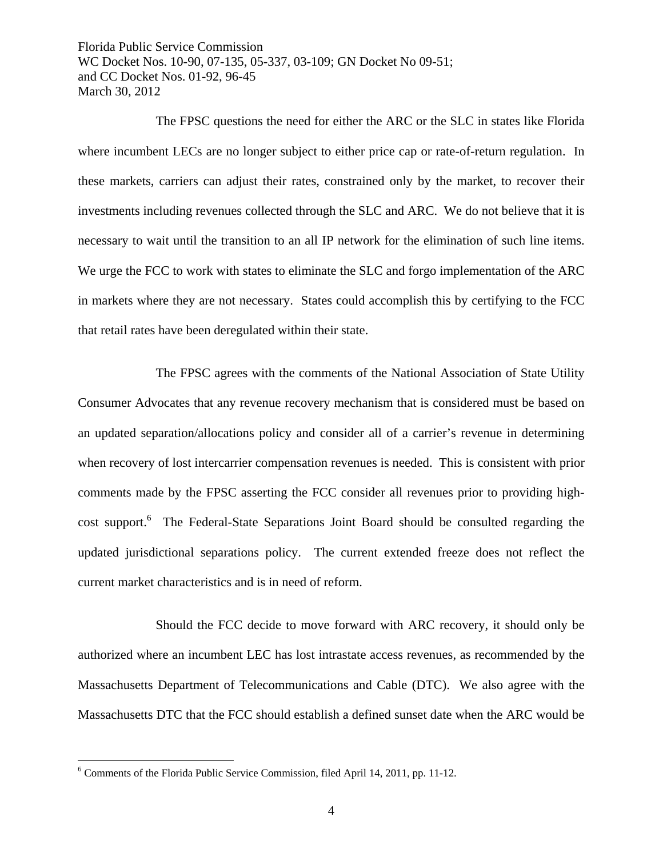The FPSC questions the need for either the ARC or the SLC in states like Florida where incumbent LECs are no longer subject to either price cap or rate-of-return regulation. In these markets, carriers can adjust their rates, constrained only by the market, to recover their investments including revenues collected through the SLC and ARC. We do not believe that it is necessary to wait until the transition to an all IP network for the elimination of such line items. We urge the FCC to work with states to eliminate the SLC and forgo implementation of the ARC in markets where they are not necessary. States could accomplish this by certifying to the FCC that retail rates have been deregulated within their state.

 The FPSC agrees with the comments of the National Association of State Utility Consumer Advocates that any revenue recovery mechanism that is considered must be based on an updated separation/allocations policy and consider all of a carrier's revenue in determining when recovery of lost intercarrier compensation revenues is needed. This is consistent with prior comments made by the FPSC asserting the FCC consider all revenues prior to providing highcost support.<sup>6</sup> The Federal-State Separations Joint Board should be consulted regarding the updated jurisdictional separations policy. The current extended freeze does not reflect the current market characteristics and is in need of reform.

 Should the FCC decide to move forward with ARC recovery, it should only be authorized where an incumbent LEC has lost intrastate access revenues, as recommended by the Massachusetts Department of Telecommunications and Cable (DTC). We also agree with the Massachusetts DTC that the FCC should establish a defined sunset date when the ARC would be

 $\overline{a}$ 

<sup>&</sup>lt;sup>6</sup> Comments of the Florida Public Service Commission, filed April 14, 2011, pp. 11-12.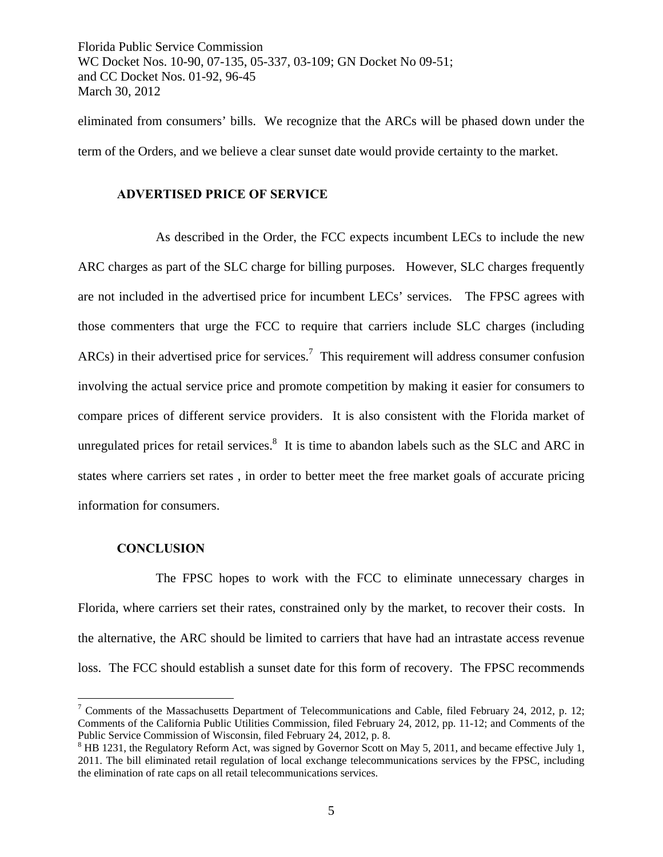eliminated from consumers' bills. We recognize that the ARCs will be phased down under the term of the Orders, and we believe a clear sunset date would provide certainty to the market.

#### **ADVERTISED PRICE OF SERVICE**

 As described in the Order, the FCC expects incumbent LECs to include the new ARC charges as part of the SLC charge for billing purposes. However, SLC charges frequently are not included in the advertised price for incumbent LECs' services. The FPSC agrees with those commenters that urge the FCC to require that carriers include SLC charges (including  $ARCs$ ) in their advertised price for services.<sup>7</sup> This requirement will address consumer confusion involving the actual service price and promote competition by making it easier for consumers to compare prices of different service providers. It is also consistent with the Florida market of unregulated prices for retail services. $8$  It is time to abandon labels such as the SLC and ARC in states where carriers set rates , in order to better meet the free market goals of accurate pricing information for consumers.

#### **CONCLUSION**

 $\overline{a}$ 

 The FPSC hopes to work with the FCC to eliminate unnecessary charges in Florida, where carriers set their rates, constrained only by the market, to recover their costs. In the alternative, the ARC should be limited to carriers that have had an intrastate access revenue loss. The FCC should establish a sunset date for this form of recovery. The FPSC recommends

<sup>&</sup>lt;sup>7</sup> Comments of the Massachusetts Department of Telecommunications and Cable, filed February 24, 2012, p. 12; Comments of the California Public Utilities Commission, filed February 24, 2012, pp. 11-12; and Comments of the Public Service Commission of Wisconsin, filed February 24, 2012, p. 8.

 $8$  HB 1231, the Regulatory Reform Act, was signed by Governor Scott on May 5, 2011, and became effective July 1, 2011. The bill eliminated retail regulation of local exchange telecommunications services by the FPSC, including the elimination of rate caps on all retail telecommunications services.